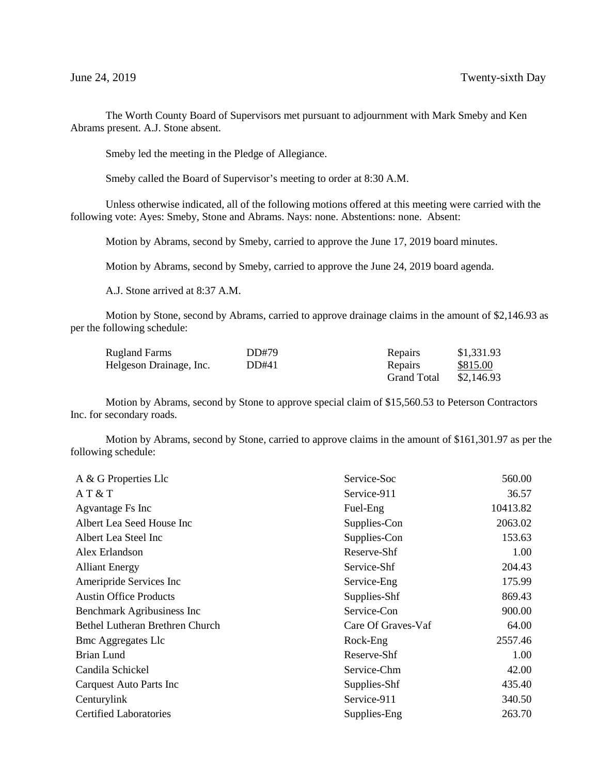The Worth County Board of Supervisors met pursuant to adjournment with Mark Smeby and Ken Abrams present. A.J. Stone absent.

Smeby led the meeting in the Pledge of Allegiance.

Smeby called the Board of Supervisor's meeting to order at 8:30 A.M.

Unless otherwise indicated, all of the following motions offered at this meeting were carried with the following vote: Ayes: Smeby, Stone and Abrams. Nays: none. Abstentions: none. Absent:

Motion by Abrams, second by Smeby, carried to approve the June 17, 2019 board minutes.

Motion by Abrams, second by Smeby, carried to approve the June 24, 2019 board agenda.

A.J. Stone arrived at 8:37 A.M.

Motion by Stone, second by Abrams, carried to approve drainage claims in the amount of \$2,146.93 as per the following schedule:

| <b>Rugland Farms</b>    | DD#79 | Repairs            | \$1,331.93 |
|-------------------------|-------|--------------------|------------|
| Helgeson Drainage, Inc. | DD#41 | Repairs            | \$815.00   |
|                         |       | <b>Grand Total</b> | \$2,146.93 |

Motion by Abrams, second by Stone to approve special claim of \$15,560.53 to Peterson Contractors Inc. for secondary roads.

Motion by Abrams, second by Stone, carried to approve claims in the amount of \$161,301.97 as per the following schedule:

| A & G Properties Llc            | Service-Soc        | 560.00   |
|---------------------------------|--------------------|----------|
| AT & T                          | Service-911        | 36.57    |
| Agvantage Fs Inc                | Fuel-Eng           | 10413.82 |
| Albert Lea Seed House Inc       | Supplies-Con       | 2063.02  |
| Albert Lea Steel Inc            | Supplies-Con       | 153.63   |
| Alex Erlandson                  | Reserve-Shf        | 1.00     |
| <b>Alliant Energy</b>           | Service-Shf        | 204.43   |
| Ameripride Services Inc         | Service-Eng        | 175.99   |
| <b>Austin Office Products</b>   | Supplies-Shf       | 869.43   |
| Benchmark Agribusiness Inc      | Service-Con        | 900.00   |
| Bethel Lutheran Brethren Church | Care Of Graves-Vaf | 64.00    |
| <b>Bmc Aggregates Llc</b>       | Rock-Eng           | 2557.46  |
| Brian Lund                      | Reserve-Shf        | 1.00     |
| Candila Schickel                | Service-Chm        | 42.00    |
| Carquest Auto Parts Inc         | Supplies-Shf       | 435.40   |
| Centurylink                     | Service-911        | 340.50   |
| <b>Certified Laboratories</b>   | Supplies-Eng       | 263.70   |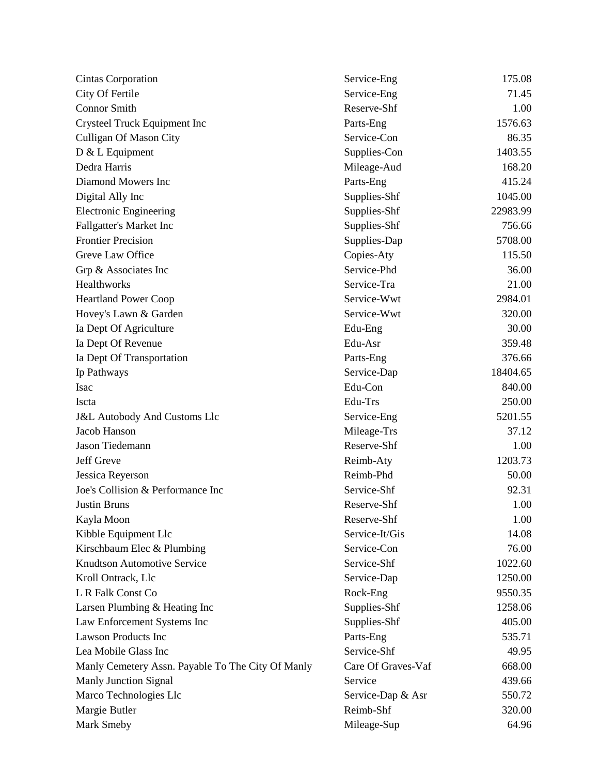| City Of Fertile<br>71.45<br>Service-Eng<br><b>Connor Smith</b><br>Reserve-Shf<br>1.00<br>1576.63<br>Crysteel Truck Equipment Inc<br>Parts-Eng<br>Service-Con<br><b>Culligan Of Mason City</b><br>86.35<br>1403.55<br>Supplies-Con<br>168.20<br>Mileage-Aud<br>415.24<br>Parts-Eng<br>Supplies-Shf<br>1045.00<br>22983.99<br>Supplies-Shf<br>Supplies-Shf<br>756.66<br>5708.00<br>Supplies-Dap<br>Greve Law Office<br>115.50<br>Copies-Aty<br>Service-Phd<br>36.00<br>Grp & Associates Inc<br>Healthworks<br>Service-Tra<br>21.00<br>2984.01<br>Service-Wwt<br>320.00<br>Hovey's Lawn & Garden<br>Service-Wwt<br>30.00<br>Edu-Eng<br>359.48<br>Edu-Asr<br>376.66<br>Parts-Eng<br>Service-Dap<br>18404.65<br>Edu-Con<br>840.00<br>Edu-Trs<br>250.00<br>5201.55<br>Service-Eng<br>37.12<br>Jacob Hanson<br>Mileage-Trs<br>Reserve-Shf<br>1.00<br>1203.73<br>Reimb-Aty<br>Reimb-Phd<br>50.00<br>Joe's Collision & Performance Inc<br>Service-Shf<br>92.31<br>Reserve-Shf<br>1.00<br><b>Justin Bruns</b><br>Reserve-Shf<br>1.00<br>Kayla Moon<br>Kibble Equipment Llc<br>Service-It/Gis<br>14.08<br>Kirschbaum Elec & Plumbing<br>76.00<br>Service-Con<br><b>Knudtson Automotive Service</b><br>Service-Shf<br>1022.60<br>Kroll Ontrack, Llc<br>Service-Dap<br>1250.00<br>9550.35<br>Rock-Eng<br>1258.06<br>Supplies-Shf<br>405.00<br>Supplies-Shf<br>Parts-Eng<br>535.71<br>Service-Shf<br>49.95<br>Care Of Graves-Vaf<br>668.00<br>Service<br>439.66<br>550.72<br>Service-Dap & Asr<br>Reimb-Shf<br>320.00 | <b>Cintas Corporation</b>                         | Service-Eng | 175.08 |
|---------------------------------------------------------------------------------------------------------------------------------------------------------------------------------------------------------------------------------------------------------------------------------------------------------------------------------------------------------------------------------------------------------------------------------------------------------------------------------------------------------------------------------------------------------------------------------------------------------------------------------------------------------------------------------------------------------------------------------------------------------------------------------------------------------------------------------------------------------------------------------------------------------------------------------------------------------------------------------------------------------------------------------------------------------------------------------------------------------------------------------------------------------------------------------------------------------------------------------------------------------------------------------------------------------------------------------------------------------------------------------------------------------------------------------------------------------------------------------------------------------|---------------------------------------------------|-------------|--------|
|                                                                                                                                                                                                                                                                                                                                                                                                                                                                                                                                                                                                                                                                                                                                                                                                                                                                                                                                                                                                                                                                                                                                                                                                                                                                                                                                                                                                                                                                                                         |                                                   |             |        |
|                                                                                                                                                                                                                                                                                                                                                                                                                                                                                                                                                                                                                                                                                                                                                                                                                                                                                                                                                                                                                                                                                                                                                                                                                                                                                                                                                                                                                                                                                                         |                                                   |             |        |
|                                                                                                                                                                                                                                                                                                                                                                                                                                                                                                                                                                                                                                                                                                                                                                                                                                                                                                                                                                                                                                                                                                                                                                                                                                                                                                                                                                                                                                                                                                         |                                                   |             |        |
|                                                                                                                                                                                                                                                                                                                                                                                                                                                                                                                                                                                                                                                                                                                                                                                                                                                                                                                                                                                                                                                                                                                                                                                                                                                                                                                                                                                                                                                                                                         |                                                   |             |        |
|                                                                                                                                                                                                                                                                                                                                                                                                                                                                                                                                                                                                                                                                                                                                                                                                                                                                                                                                                                                                                                                                                                                                                                                                                                                                                                                                                                                                                                                                                                         | D & L Equipment                                   |             |        |
|                                                                                                                                                                                                                                                                                                                                                                                                                                                                                                                                                                                                                                                                                                                                                                                                                                                                                                                                                                                                                                                                                                                                                                                                                                                                                                                                                                                                                                                                                                         | Dedra Harris                                      |             |        |
|                                                                                                                                                                                                                                                                                                                                                                                                                                                                                                                                                                                                                                                                                                                                                                                                                                                                                                                                                                                                                                                                                                                                                                                                                                                                                                                                                                                                                                                                                                         | Diamond Mowers Inc                                |             |        |
|                                                                                                                                                                                                                                                                                                                                                                                                                                                                                                                                                                                                                                                                                                                                                                                                                                                                                                                                                                                                                                                                                                                                                                                                                                                                                                                                                                                                                                                                                                         | Digital Ally Inc                                  |             |        |
|                                                                                                                                                                                                                                                                                                                                                                                                                                                                                                                                                                                                                                                                                                                                                                                                                                                                                                                                                                                                                                                                                                                                                                                                                                                                                                                                                                                                                                                                                                         | <b>Electronic Engineering</b>                     |             |        |
|                                                                                                                                                                                                                                                                                                                                                                                                                                                                                                                                                                                                                                                                                                                                                                                                                                                                                                                                                                                                                                                                                                                                                                                                                                                                                                                                                                                                                                                                                                         | Fallgatter's Market Inc                           |             |        |
|                                                                                                                                                                                                                                                                                                                                                                                                                                                                                                                                                                                                                                                                                                                                                                                                                                                                                                                                                                                                                                                                                                                                                                                                                                                                                                                                                                                                                                                                                                         | <b>Frontier Precision</b>                         |             |        |
|                                                                                                                                                                                                                                                                                                                                                                                                                                                                                                                                                                                                                                                                                                                                                                                                                                                                                                                                                                                                                                                                                                                                                                                                                                                                                                                                                                                                                                                                                                         |                                                   |             |        |
|                                                                                                                                                                                                                                                                                                                                                                                                                                                                                                                                                                                                                                                                                                                                                                                                                                                                                                                                                                                                                                                                                                                                                                                                                                                                                                                                                                                                                                                                                                         |                                                   |             |        |
|                                                                                                                                                                                                                                                                                                                                                                                                                                                                                                                                                                                                                                                                                                                                                                                                                                                                                                                                                                                                                                                                                                                                                                                                                                                                                                                                                                                                                                                                                                         |                                                   |             |        |
|                                                                                                                                                                                                                                                                                                                                                                                                                                                                                                                                                                                                                                                                                                                                                                                                                                                                                                                                                                                                                                                                                                                                                                                                                                                                                                                                                                                                                                                                                                         | <b>Heartland Power Coop</b>                       |             |        |
|                                                                                                                                                                                                                                                                                                                                                                                                                                                                                                                                                                                                                                                                                                                                                                                                                                                                                                                                                                                                                                                                                                                                                                                                                                                                                                                                                                                                                                                                                                         |                                                   |             |        |
|                                                                                                                                                                                                                                                                                                                                                                                                                                                                                                                                                                                                                                                                                                                                                                                                                                                                                                                                                                                                                                                                                                                                                                                                                                                                                                                                                                                                                                                                                                         | Ia Dept Of Agriculture                            |             |        |
|                                                                                                                                                                                                                                                                                                                                                                                                                                                                                                                                                                                                                                                                                                                                                                                                                                                                                                                                                                                                                                                                                                                                                                                                                                                                                                                                                                                                                                                                                                         | Ia Dept Of Revenue                                |             |        |
|                                                                                                                                                                                                                                                                                                                                                                                                                                                                                                                                                                                                                                                                                                                                                                                                                                                                                                                                                                                                                                                                                                                                                                                                                                                                                                                                                                                                                                                                                                         | Ia Dept Of Transportation                         |             |        |
|                                                                                                                                                                                                                                                                                                                                                                                                                                                                                                                                                                                                                                                                                                                                                                                                                                                                                                                                                                                                                                                                                                                                                                                                                                                                                                                                                                                                                                                                                                         | Ip Pathways                                       |             |        |
|                                                                                                                                                                                                                                                                                                                                                                                                                                                                                                                                                                                                                                                                                                                                                                                                                                                                                                                                                                                                                                                                                                                                                                                                                                                                                                                                                                                                                                                                                                         | Isac                                              |             |        |
|                                                                                                                                                                                                                                                                                                                                                                                                                                                                                                                                                                                                                                                                                                                                                                                                                                                                                                                                                                                                                                                                                                                                                                                                                                                                                                                                                                                                                                                                                                         | Iscta                                             |             |        |
|                                                                                                                                                                                                                                                                                                                                                                                                                                                                                                                                                                                                                                                                                                                                                                                                                                                                                                                                                                                                                                                                                                                                                                                                                                                                                                                                                                                                                                                                                                         | <b>J&amp;L Autobody And Customs Llc</b>           |             |        |
|                                                                                                                                                                                                                                                                                                                                                                                                                                                                                                                                                                                                                                                                                                                                                                                                                                                                                                                                                                                                                                                                                                                                                                                                                                                                                                                                                                                                                                                                                                         |                                                   |             |        |
|                                                                                                                                                                                                                                                                                                                                                                                                                                                                                                                                                                                                                                                                                                                                                                                                                                                                                                                                                                                                                                                                                                                                                                                                                                                                                                                                                                                                                                                                                                         | Jason Tiedemann                                   |             |        |
|                                                                                                                                                                                                                                                                                                                                                                                                                                                                                                                                                                                                                                                                                                                                                                                                                                                                                                                                                                                                                                                                                                                                                                                                                                                                                                                                                                                                                                                                                                         | Jeff Greve                                        |             |        |
|                                                                                                                                                                                                                                                                                                                                                                                                                                                                                                                                                                                                                                                                                                                                                                                                                                                                                                                                                                                                                                                                                                                                                                                                                                                                                                                                                                                                                                                                                                         | Jessica Reyerson                                  |             |        |
|                                                                                                                                                                                                                                                                                                                                                                                                                                                                                                                                                                                                                                                                                                                                                                                                                                                                                                                                                                                                                                                                                                                                                                                                                                                                                                                                                                                                                                                                                                         |                                                   |             |        |
|                                                                                                                                                                                                                                                                                                                                                                                                                                                                                                                                                                                                                                                                                                                                                                                                                                                                                                                                                                                                                                                                                                                                                                                                                                                                                                                                                                                                                                                                                                         |                                                   |             |        |
|                                                                                                                                                                                                                                                                                                                                                                                                                                                                                                                                                                                                                                                                                                                                                                                                                                                                                                                                                                                                                                                                                                                                                                                                                                                                                                                                                                                                                                                                                                         |                                                   |             |        |
|                                                                                                                                                                                                                                                                                                                                                                                                                                                                                                                                                                                                                                                                                                                                                                                                                                                                                                                                                                                                                                                                                                                                                                                                                                                                                                                                                                                                                                                                                                         |                                                   |             |        |
|                                                                                                                                                                                                                                                                                                                                                                                                                                                                                                                                                                                                                                                                                                                                                                                                                                                                                                                                                                                                                                                                                                                                                                                                                                                                                                                                                                                                                                                                                                         |                                                   |             |        |
|                                                                                                                                                                                                                                                                                                                                                                                                                                                                                                                                                                                                                                                                                                                                                                                                                                                                                                                                                                                                                                                                                                                                                                                                                                                                                                                                                                                                                                                                                                         |                                                   |             |        |
|                                                                                                                                                                                                                                                                                                                                                                                                                                                                                                                                                                                                                                                                                                                                                                                                                                                                                                                                                                                                                                                                                                                                                                                                                                                                                                                                                                                                                                                                                                         |                                                   |             |        |
|                                                                                                                                                                                                                                                                                                                                                                                                                                                                                                                                                                                                                                                                                                                                                                                                                                                                                                                                                                                                                                                                                                                                                                                                                                                                                                                                                                                                                                                                                                         | L R Falk Const Co                                 |             |        |
|                                                                                                                                                                                                                                                                                                                                                                                                                                                                                                                                                                                                                                                                                                                                                                                                                                                                                                                                                                                                                                                                                                                                                                                                                                                                                                                                                                                                                                                                                                         | Larsen Plumbing & Heating Inc                     |             |        |
|                                                                                                                                                                                                                                                                                                                                                                                                                                                                                                                                                                                                                                                                                                                                                                                                                                                                                                                                                                                                                                                                                                                                                                                                                                                                                                                                                                                                                                                                                                         | Law Enforcement Systems Inc                       |             |        |
|                                                                                                                                                                                                                                                                                                                                                                                                                                                                                                                                                                                                                                                                                                                                                                                                                                                                                                                                                                                                                                                                                                                                                                                                                                                                                                                                                                                                                                                                                                         | <b>Lawson Products Inc</b>                        |             |        |
|                                                                                                                                                                                                                                                                                                                                                                                                                                                                                                                                                                                                                                                                                                                                                                                                                                                                                                                                                                                                                                                                                                                                                                                                                                                                                                                                                                                                                                                                                                         | Lea Mobile Glass Inc                              |             |        |
|                                                                                                                                                                                                                                                                                                                                                                                                                                                                                                                                                                                                                                                                                                                                                                                                                                                                                                                                                                                                                                                                                                                                                                                                                                                                                                                                                                                                                                                                                                         | Manly Cemetery Assn. Payable To The City Of Manly |             |        |
|                                                                                                                                                                                                                                                                                                                                                                                                                                                                                                                                                                                                                                                                                                                                                                                                                                                                                                                                                                                                                                                                                                                                                                                                                                                                                                                                                                                                                                                                                                         | <b>Manly Junction Signal</b>                      |             |        |
|                                                                                                                                                                                                                                                                                                                                                                                                                                                                                                                                                                                                                                                                                                                                                                                                                                                                                                                                                                                                                                                                                                                                                                                                                                                                                                                                                                                                                                                                                                         | Marco Technologies Llc                            |             |        |
|                                                                                                                                                                                                                                                                                                                                                                                                                                                                                                                                                                                                                                                                                                                                                                                                                                                                                                                                                                                                                                                                                                                                                                                                                                                                                                                                                                                                                                                                                                         | Margie Butler                                     |             |        |
|                                                                                                                                                                                                                                                                                                                                                                                                                                                                                                                                                                                                                                                                                                                                                                                                                                                                                                                                                                                                                                                                                                                                                                                                                                                                                                                                                                                                                                                                                                         | Mark Smeby                                        | Mileage-Sup | 64.96  |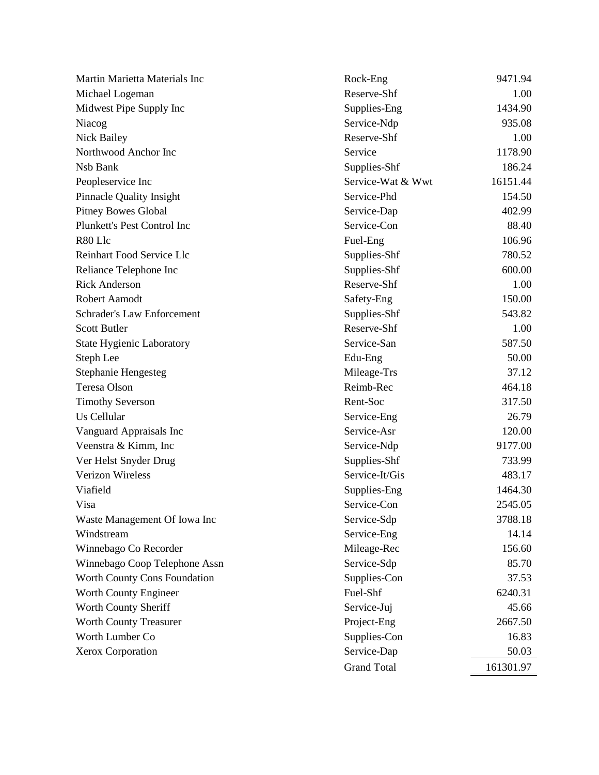| Martin Marietta Materials Inc       | Rock-Eng           | 9471.94   |
|-------------------------------------|--------------------|-----------|
| Michael Logeman                     | Reserve-Shf        | 1.00      |
| Midwest Pipe Supply Inc             | Supplies-Eng       | 1434.90   |
| Niacog                              | Service-Ndp        | 935.08    |
| Nick Bailey                         | Reserve-Shf        | 1.00      |
| Northwood Anchor Inc                | Service            | 1178.90   |
| Nsb Bank                            | Supplies-Shf       | 186.24    |
| Peopleservice Inc                   | Service-Wat & Wwt  | 16151.44  |
| <b>Pinnacle Quality Insight</b>     | Service-Phd        | 154.50    |
| <b>Pitney Bowes Global</b>          | Service-Dap        | 402.99    |
| Plunkett's Pest Control Inc         | Service-Con        | 88.40     |
| R80 Llc                             | Fuel-Eng           | 106.96    |
| Reinhart Food Service Llc           | Supplies-Shf       | 780.52    |
| Reliance Telephone Inc              | Supplies-Shf       | 600.00    |
| <b>Rick Anderson</b>                | Reserve-Shf        | 1.00      |
| <b>Robert Aamodt</b>                | Safety-Eng         | 150.00    |
| <b>Schrader's Law Enforcement</b>   | Supplies-Shf       | 543.82    |
| <b>Scott Butler</b>                 | Reserve-Shf        | 1.00      |
| <b>State Hygienic Laboratory</b>    | Service-San        | 587.50    |
| Steph Lee                           | Edu-Eng            | 50.00     |
| <b>Stephanie Hengesteg</b>          | Mileage-Trs        | 37.12     |
| Teresa Olson                        | Reimb-Rec          | 464.18    |
| <b>Timothy Severson</b>             | Rent-Soc           | 317.50    |
| Us Cellular                         | Service-Eng        | 26.79     |
| Vanguard Appraisals Inc             | Service-Asr        | 120.00    |
| Veenstra & Kimm, Inc.               | Service-Ndp        | 9177.00   |
| Ver Helst Snyder Drug               | Supplies-Shf       | 733.99    |
| <b>Verizon Wireless</b>             | Service-It/Gis     | 483.17    |
| Viafield                            | Supplies-Eng       | 1464.30   |
| Visa                                | Service-Con        | 2545.05   |
| Waste Management Of Iowa Inc        | Service-Sdp        | 3788.18   |
| Windstream                          | Service-Eng        | 14.14     |
| Winnebago Co Recorder               | Mileage-Rec        | 156.60    |
| Winnebago Coop Telephone Assn       | Service-Sdp        | 85.70     |
| <b>Worth County Cons Foundation</b> | Supplies-Con       | 37.53     |
| Worth County Engineer               | Fuel-Shf           | 6240.31   |
| Worth County Sheriff                | Service-Juj        | 45.66     |
| Worth County Treasurer              | Project-Eng        | 2667.50   |
| Worth Lumber Co                     | Supplies-Con       | 16.83     |
| Xerox Corporation                   | Service-Dap        | 50.03     |
|                                     | <b>Grand Total</b> | 161301.97 |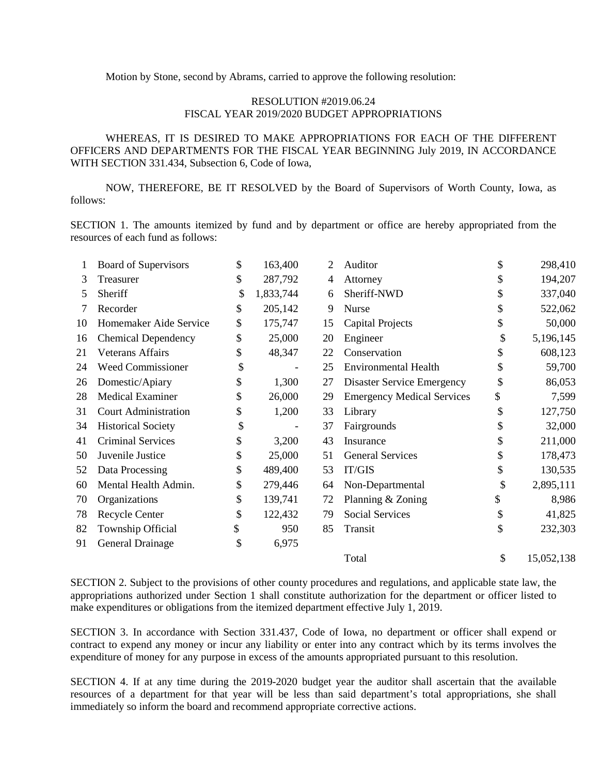Motion by Stone, second by Abrams, carried to approve the following resolution:

## RESOLUTION #2019.06.24 FISCAL YEAR 2019/2020 BUDGET APPROPRIATIONS

WHEREAS, IT IS DESIRED TO MAKE APPROPRIATIONS FOR EACH OF THE DIFFERENT OFFICERS AND DEPARTMENTS FOR THE FISCAL YEAR BEGINNING July 2019, IN ACCORDANCE WITH SECTION 331.434, Subsection 6, Code of Iowa,

NOW, THEREFORE, BE IT RESOLVED by the Board of Supervisors of Worth County, Iowa, as follows:

SECTION 1. The amounts itemized by fund and by department or office are hereby appropriated from the resources of each fund as follows:

|    | <b>Board of Supervisors</b> | \$<br>163,400           | 2  | Auditor                           | \$            | 298,410    |
|----|-----------------------------|-------------------------|----|-----------------------------------|---------------|------------|
| 3  | Treasurer                   | \$<br>287,792           | 4  | Attorney                          |               | 194,207    |
| 5  | Sheriff                     | \$<br>1,833,744         | 6  | Sheriff-NWD                       | \$            | 337,040    |
| 7  | Recorder                    | \$<br>205,142           | 9  | Nurse                             | S             | 522,062    |
| 10 | Homemaker Aide Service      | \$<br>175,747           | 15 | <b>Capital Projects</b>           | \$            | 50,000     |
| 16 | <b>Chemical Dependency</b>  | \$<br>25,000            | 20 | Engineer                          | \$            | 5,196,145  |
| 21 | <b>Veterans Affairs</b>     | \$<br>48,347            | 22 | Conservation                      | \$            | 608,123    |
| 24 | <b>Weed Commissioner</b>    | \$<br>$\qquad \qquad -$ | 25 | <b>Environmental Health</b>       | \$            | 59,700     |
| 26 | Domestic/Apiary             | \$<br>1,300             | 27 | <b>Disaster Service Emergency</b> | \$            | 86,053     |
| 28 | <b>Medical Examiner</b>     | \$<br>26,000            | 29 | <b>Emergency Medical Services</b> | \$            | 7,599      |
| 31 | <b>Court Administration</b> | \$<br>1,200             | 33 | Library                           | \$            | 127,750    |
| 34 | <b>Historical Society</b>   | \$                      | 37 | Fairgrounds                       | \$            | 32,000     |
| 41 | <b>Criminal Services</b>    | \$<br>3,200             | 43 | Insurance                         | \$            | 211,000    |
| 50 | Juvenile Justice            | \$<br>25,000            | 51 | <b>General Services</b>           | \$            | 178,473    |
| 52 | Data Processing             | \$<br>489,400           | 53 | IT/GIS                            | \$            | 130,535    |
| 60 | Mental Health Admin.        | \$<br>279,446           | 64 | Non-Departmental                  | \$            | 2,895,111  |
| 70 | Organizations               | \$<br>139,741           | 72 | Planning & Zoning                 | \$            | 8,986      |
| 78 | Recycle Center              | \$<br>122,432           | 79 | <b>Social Services</b>            | \$            | 41,825     |
| 82 | Township Official           | \$<br>950               | 85 | Transit                           | \$            | 232,303    |
| 91 | General Drainage            | \$<br>6,975             |    |                                   |               |            |
|    |                             |                         |    | Total                             | $\mathcal{S}$ | 15,052,138 |

SECTION 2. Subject to the provisions of other county procedures and regulations, and applicable state law, the appropriations authorized under Section 1 shall constitute authorization for the department or officer listed to make expenditures or obligations from the itemized department effective July 1, 2019.

SECTION 3. In accordance with Section 331.437, Code of Iowa, no department or officer shall expend or contract to expend any money or incur any liability or enter into any contract which by its terms involves the expenditure of money for any purpose in excess of the amounts appropriated pursuant to this resolution.

SECTION 4. If at any time during the 2019-2020 budget year the auditor shall ascertain that the available resources of a department for that year will be less than said department's total appropriations, she shall immediately so inform the board and recommend appropriate corrective actions.